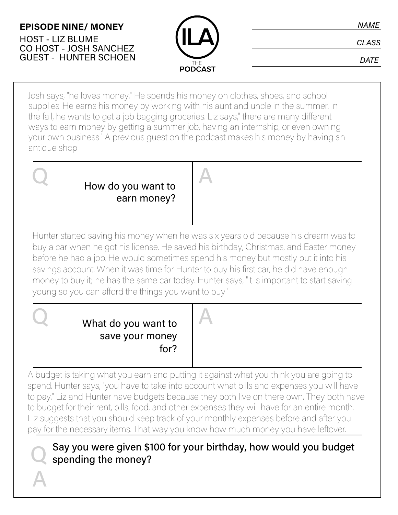## **EPISODE NINE/ MONEY**

HOST - LIZ BLUME CO HOST - JOSH SANCHEZ GUEST - HUNTER SCHOEN



**DATE** 

Josh says, "he loves money." He spends his money on clothes, shoes, and school supplies. He earns his money by working with his aunt and uncle in the summer. In the fall, he wants to get a job bagging groceries. Liz says," there are many different ways to earn money by getting a summer job, having an internship, or even owning your own business." A previous guest on the podcast makes his money by having an antique shop.



Hunter started saving his money when he was six years old because his dream was to buy a car when he got his license. He saved his birthday, Christmas, and Easter money before he had a job. He would sometimes spend his money but mostly put it into his savings account. When it was time for Hunter to buy his first car, he did have enough money to buy it; he has the same car today. Hunter says, "it is important to start saving young so you can afford the things you want to buy."

# Q What do you want to save your money for?



A budget is taking what you earn and putting it against what you think you are going to spend. Hunter says, "you have to take into account what bills and expenses you will have to pay." Liz and Hunter have budgets because they both live on there own. They both have to budget for their rent, bills, food, and other expenses they will have for an entire month. Liz suggests that you should keep track of your monthly expenses before and after you pay for the necessary items. That way you know how much money you have leftover.

Say you were given \$100 for your birthday, how would you budget spending the money?

Q